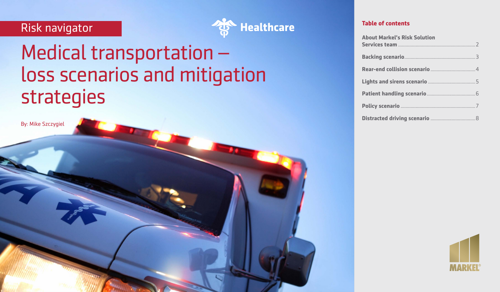# Risk navigator



# Medical transportation – loss scenarios and mitigation strategies

By: Mike Szczygiel

| <b>About Markel's Risk Solution</b> |
|-------------------------------------|
|                                     |
|                                     |
|                                     |
|                                     |
|                                     |
|                                     |

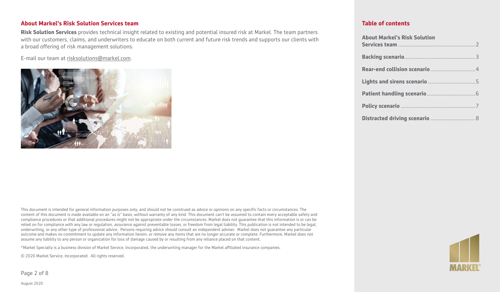## **About Markel's Risk Solution Services team**

**Risk Solution Services** provides technical insight related to existing and potential insured risk at Markel. The team partners with our customers, claims, and underwriters to educate on both current and future risk trends and supports our clients with a broad offering of risk management solutions.

E-mail our team at [risksolutions@markel.com.](mailto:https://www.nhtsa.gov/equipment/car-seats-and-booster-seats)



This document is intended for general information purposes only, and should not be construed as advice or opinions on any specific facts or circumstances. The content of this document is made available on an "as is" basis, without warranty of any kind. This document can't be assumed to contain every acceptable safety and compliance procedures or that additional procedures might not be appropriate under the circumstances. Markel does not guarantee that this information is or can be relied on for compliance with any law or regulation, assurance against preventable losses, or freedom from legal liability. This publication is not intended to be legal, underwriting, or any other type of professional advice. Persons requiring advice should consult an independent adviser. Markel does not guarantee any particular outcome and makes no commitment to update any information herein, or remove any items that are no longer accurate or complete. Furthermore, Markel does not assume any liability to any person or organization for loss of damage caused by or resulting from any reliance placed on that content.

\*Markel Specialty is a business division of Markel Service, Incorporated, the underwriting manager for the Markel affiliated insurance companies.

© 2020 Markel Service, Incorporated. All rights reserved.

Page 2 of 8



| <b>About Markel's Risk Solution</b> |  |
|-------------------------------------|--|
|                                     |  |
|                                     |  |
|                                     |  |
|                                     |  |
|                                     |  |
|                                     |  |

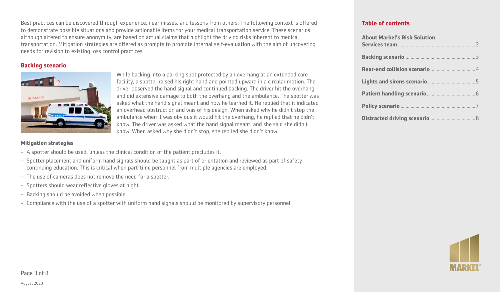Best practices can be discovered through experience, near misses, and lessons from others. The following context is offered to demonstrate possible situations and provide actionable items for your medical transportation service. These scenarios, although altered to ensure anonymity, are based on actual claims that highlight the driving risks inherent to medical transportation. Mitigation strategies are offered as prompts to promote internal self-evaluation with the aim of uncovering needs for revision to existing loss control practices.

# **Backing scenario**



While backing into a parking spot protected by an overhang at an extended care facility, a spotter raised his right hand and pointed upward in a circular motion. The driver observed the hand signal and continued backing. The driver hit the overhang and did extensive damage to both the overhang and the ambulance. The spotter was asked what the hand signal meant and how he learned it. He replied that it indicated an overhead obstruction and was of his design. When asked why he didn't stop the ambulance when it was obvious it would hit the overhang, he replied that he didn't know. The driver was asked what the hand signal meant, and she said she didn't know. When asked why she didn't stop, she replied she didn't know.

#### **Mitigation strategies**

- A spotter should be used, unless the clinical condition of the patient precludes it.
- Spotter placement and uniform hand signals should be taught as part of orientation and reviewed as part of safety continuing education. This is critical when part-time personnel from multiple agencies are employed.
- The use of cameras does not remove the need for a spotter.
- Spotters should wear reflective gloves at night.
- Backing should be avoided when possible.
- Compliance with the use of a spotter with uniform hand signals should be monitored by supervisory personnel.

| <b>About Markel's Risk Solution</b> |  |
|-------------------------------------|--|
|                                     |  |
|                                     |  |
|                                     |  |
|                                     |  |
|                                     |  |
|                                     |  |

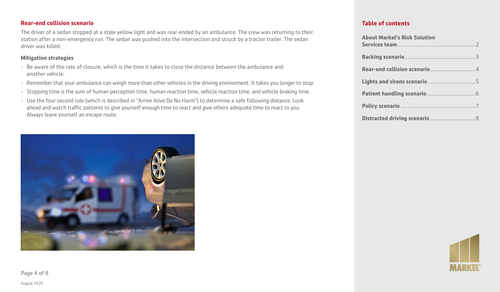# **Rear-end collision scenario**

The driver of a sedan stopped at a stale yellow light and was rear-ended by an ambulance. The crew was returning to their station after a non-emergency run. The sedan was pushed into the intersection and struck by a tractor trailer. The sedan driver was killed.

#### **Mitigation strategies**

- Be aware of the rate of closure, which is the time it takes to close the distance between the ambulance and another vehicle.
- Remember that your ambulance can weigh more than other vehicles in the driving environment. It takes you longer to stop.
- Stopping time is the sum of human perception time, human reaction time, vehicle reaction time, and vehicle braking time.
- Use the four second rule (which is described in "Arrive Alive Do No Harm") to determine a safe following distance. Look ahead and watch traffic patterns to give yourself enough time to react and give others adequate time to react to you. Always leave yourself an escape route.



| <b>About Markel's Risk Solution</b> |
|-------------------------------------|
|                                     |
|                                     |
|                                     |
|                                     |
|                                     |
|                                     |

Page 4 of 8

August 2020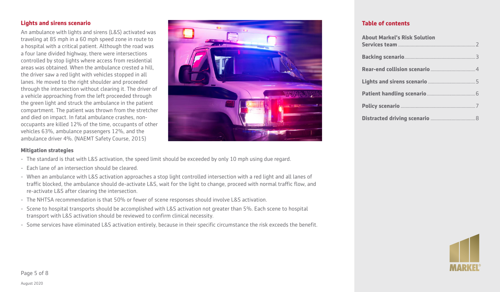# **Lights and sirens scenario**

An ambulance with lights and sirens (L&S) activated was traveling at 85 mph in a 60 mph speed zone in route to a hospital with a critical patient. Although the road was a four lane divided highway, there were intersections controlled by stop lights where access from residential areas was obtained. When the ambulance crested a hill, the driver saw a red light with vehicles stopped in all lanes. He moved to the right shoulder and proceeded through the intersection without clearing it. The driver of a vehicle approaching from the left proceeded through the green light and struck the ambulance in the patient compartment. The patient was thrown from the stretcher and died on impact. In fatal ambulance crashes, nonoccupants are killed 12% of the time, occupants of other vehicles 63%, ambulance passengers 12%, and the ambulance driver 4%. (NAEMT Safety Course, 2015)



# **Table of contents**

| <b>About Markel's Risk Solution</b> |
|-------------------------------------|
|                                     |
|                                     |
|                                     |
|                                     |
|                                     |
|                                     |

#### **Mitigation strategies**

- The standard is that with L&S activation, the speed limit should be exceeded by only 10 mph using due regard.
- Each lane of an intersection should be cleared.
- When an ambulance with L&S activation approaches a stop light controlled intersection with a red light and all lanes of traffic blocked, the ambulance should de-activate L&S, wait for the light to change, proceed with normal traffic flow, and re-activate L&S after clearing the intersection.
- The NHTSA recommendation is that 50% or fewer of scene responses should involve L&S activation.
- Scene to hospital transports should be accomplished with L&S activation not greater than 5%. Each scene to hospital transport with L&S activation should be reviewed to confirm clinical necessity.
- Some services have eliminated L&S activation entirely, because in their specific circumstance the risk exceeds the benefit.

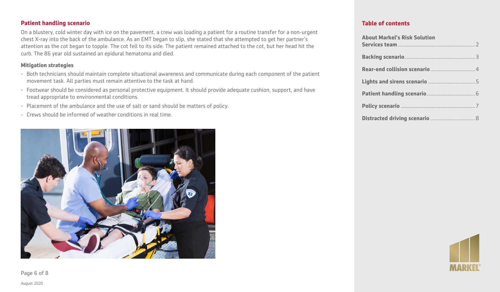# **Patient handling scenario**

On a blustery, cold winter day with ice on the pavement, a crew was loading a patient for a routine transfer for a non-urgent chest X-ray into the back of the ambulance. As an EMT began to slip, she stated that she attempted to get her partner's attention as the cot began to topple. The cot fell to its side. The patient remained attached to the cot, but her head hit the curb. The 86 year old sustained an epidural hematoma and died.

#### **Mitigation strategies**

- Both technicians should maintain complete situational awareness and communicate during each component of the patient movement task. All parties must remain attentive to the task at hand.
- Footwear should be considered as personal protective equipment. It should provide adequate cushion, support, and have tread appropriate to environmental conditions.
- Placement of the ambulance and the use of salt or sand should be matters of policy.
- Crews should be informed of weather conditions in real time.



# **Table of contents**

| <b>About Markel's Risk Solution</b> |  |
|-------------------------------------|--|
|                                     |  |
|                                     |  |
|                                     |  |
|                                     |  |
|                                     |  |
|                                     |  |



Page 6 of 8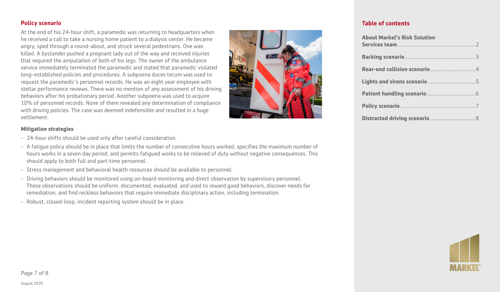At the end of his 24-hour shift, a paramedic was returning to headquarters when he received a call to take a nursing home patient to a dialysis center. He became angry, sped through a round-about, and struck several pedestrians. One was killed. A bystander pushed a pregnant lady out of the way and received injuries that required the amputation of both of his legs. The owner of the ambulance service immediately terminated the paramedic and stated that paramedic violated long–established policies and procedures. A subpoena duces tecum was used to request the paramedic's personnel records. He was an eight year employee with stellar performance reviews. There was no mention of any assessment of his driving behaviors after his probationary period. Another subpoena was used to acquire 10% of personnel records. None of them revealed any determination of compliance with driving policies. The case was deemed indefensible and resulted in a huge settlement.



#### **Mitigation strategies**

- 24-hour shifts should be used only after careful consideration.
- A fatigue policy should be in place that limits the number of consecutive hours worked, specifies the maximum number of hours works in a seven day period, and permits fatigued works to be relieved of duty without negative consequences. This should apply to both full and part-time personnel.
- Stress management and behavioral health resources should be available to personnel.
- Driving behaviors should be monitored using on-board monitoring and direct observation by supervisory personnel. These observations should be uniform, documented, evaluated, and used to reward good behaviors, discover needs for remediation, and find reckless behaviors that require immediate disciplinary action, including termination.
- Robust, closed-loop, incident reporting system should be in place.

| <b>About Markel's Risk Solution</b> |  |
|-------------------------------------|--|
|                                     |  |
|                                     |  |
|                                     |  |
|                                     |  |
|                                     |  |
|                                     |  |